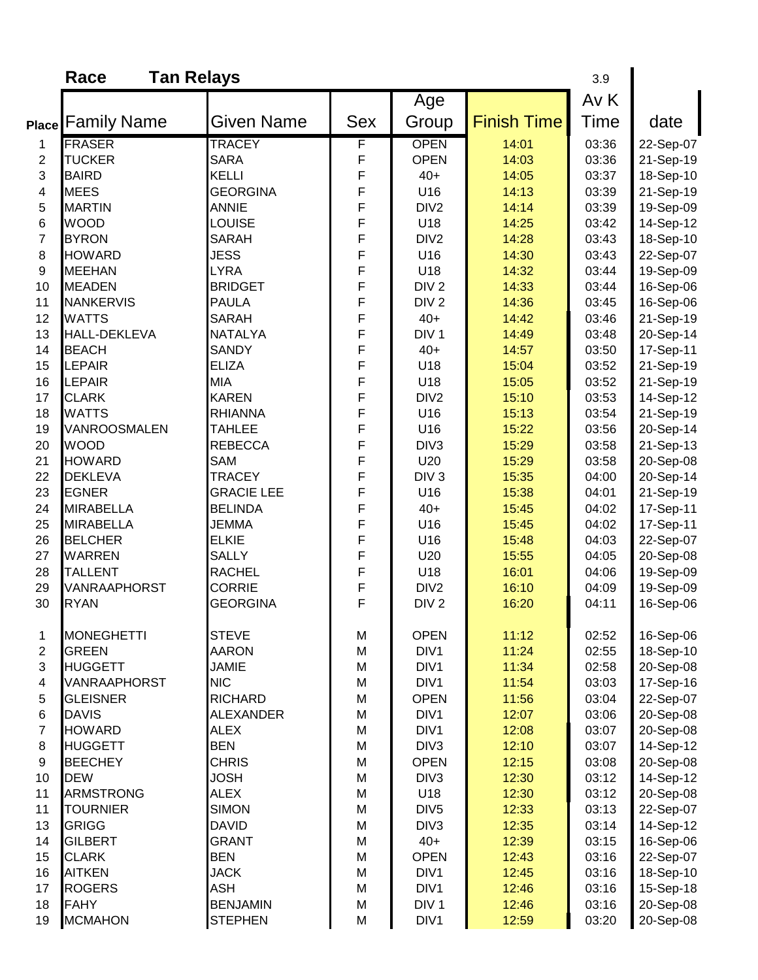|                         | Race                     | <b>Tan Relays</b>             |            |                          |                    | 3.9            |                        |
|-------------------------|--------------------------|-------------------------------|------------|--------------------------|--------------------|----------------|------------------------|
|                         |                          |                               |            | Age                      |                    | Av K           |                        |
|                         | <b>Place Family Name</b> | Given Name                    | <b>Sex</b> | Group                    | <b>Finish Time</b> | Time           | date                   |
| 1                       | <b>FRASER</b>            | <b>TRACEY</b>                 | F          | <b>OPEN</b>              | 14:01              | 03:36          | 22-Sep-07              |
| $\overline{2}$          | <b>TUCKER</b>            | <b>SARA</b>                   | F          | <b>OPEN</b>              | 14:03              | 03:36          | 21-Sep-19              |
| 3                       | <b>BAIRD</b>             | <b>KELLI</b>                  | F          | $40+$                    | 14:05              | 03:37          | 18-Sep-10              |
| 4                       | <b>MEES</b>              | <b>GEORGINA</b>               | F          | U16                      | 14:13              | 03:39          | 21-Sep-19              |
| 5                       | <b>MARTIN</b>            | <b>ANNIE</b>                  | F          | DIV <sub>2</sub>         | 14:14              | 03:39          | 19-Sep-09              |
| 6                       | <b>WOOD</b>              | <b>LOUISE</b>                 | F          | U18                      | 14:25              | 03:42          | 14-Sep-12              |
| 7                       | <b>BYRON</b>             | <b>SARAH</b>                  | F          | DIV <sub>2</sub>         | 14:28              | 03:43          | 18-Sep-10              |
| 8                       | <b>HOWARD</b>            | <b>JESS</b>                   | F          | U16                      | 14:30              | 03:43          | 22-Sep-07              |
| 9                       | <b>MEEHAN</b>            | <b>LYRA</b>                   | F          | U18                      | 14:32              | 03:44          | 19-Sep-09              |
| 10                      | <b>MEADEN</b>            | <b>BRIDGET</b>                | F          | DIV <sub>2</sub>         | 14:33              | 03:44          | 16-Sep-06              |
| 11                      | <b>NANKERVIS</b>         | <b>PAULA</b>                  | F          | DIV <sub>2</sub>         | 14:36              | 03:45          | 16-Sep-06              |
| 12                      | <b>WATTS</b>             | <b>SARAH</b>                  | F          | $40+$                    | 14:42              | 03:46          | 21-Sep-19              |
| 13                      | <b>HALL-DEKLEVA</b>      | <b>NATALYA</b>                | F          | DIV <sub>1</sub>         | 14:49              | 03:48          | 20-Sep-14              |
| 14                      | <b>BEACH</b>             | <b>SANDY</b>                  | F          | $40+$                    | 14:57              | 03:50          | 17-Sep-11              |
| 15                      | <b>LEPAIR</b>            | <b>ELIZA</b>                  | F          | U18                      | 15:04              | 03:52          | 21-Sep-19              |
| 16                      | <b>LEPAIR</b>            | <b>MIA</b>                    | F          | U18                      | 15:05              | 03:52          | 21-Sep-19              |
| 17                      | <b>CLARK</b>             | <b>KAREN</b>                  | F          | DIV <sub>2</sub>         | 15:10              | 03:53          | 14-Sep-12              |
| 18                      | <b>WATTS</b>             | <b>RHIANNA</b>                | F          | U16                      | 15:13              | 03:54          | 21-Sep-19              |
| 19                      | VANROOSMALEN             | <b>TAHLEE</b>                 | F          | U16                      | 15:22              | 03:56          | 20-Sep-14              |
| 20                      | <b>WOOD</b>              | <b>REBECCA</b>                | F          | DIV <sub>3</sub>         | 15:29              | 03:58          | 21-Sep-13              |
| 21                      | <b>HOWARD</b>            | <b>SAM</b>                    | F          | U20                      | 15:29              | 03:58          | 20-Sep-08              |
| 22                      | <b>DEKLEVA</b>           | <b>TRACEY</b>                 | F          | DIV <sub>3</sub>         | 15:35              | 04:00          | 20-Sep-14              |
| 23                      | <b>EGNER</b>             | <b>GRACIE LEE</b>             | F          | U16                      | 15:38              | 04:01          | 21-Sep-19              |
| 24                      | <b>MIRABELLA</b>         | <b>BELINDA</b>                | F          | $40+$                    | 15:45              | 04:02          | 17-Sep-11              |
| 25                      | <b>MIRABELLA</b>         | <b>JEMMA</b>                  | F          | U16                      | 15:45              | 04:02          | 17-Sep-11              |
| 26                      | <b>BELCHER</b>           | <b>ELKIE</b>                  | F          | U16                      | 15:48              | 04:03          | 22-Sep-07              |
| 27                      | <b>WARREN</b>            | <b>SALLY</b>                  | F          | U20                      | 15:55              | 04:05          | 20-Sep-08              |
| 28                      | <b>TALLENT</b>           | <b>RACHEL</b>                 | F          | U18                      | 16:01              | 04:06          | 19-Sep-09              |
| 29                      | <b>VANRAAPHORST</b>      | <b>CORRIE</b>                 | F          | DIV <sub>2</sub>         | 16:10              | 04:09          | 19-Sep-09              |
| 30                      | <b>RYAN</b>              | <b>GEORGINA</b>               | F          | DIV <sub>2</sub>         | 16:20              | 04:11          | 16-Sep-06              |
| 1                       | <b>MONEGHETTI</b>        | <b>STEVE</b>                  | M          | <b>OPEN</b>              | 11:12              | 02:52          | 16-Sep-06              |
| $\overline{\mathbf{c}}$ | <b>GREEN</b>             | <b>AARON</b>                  | M          | DIV1                     | 11:24              | 02:55          | 18-Sep-10              |
| 3                       | <b>HUGGETT</b>           | <b>JAMIE</b>                  | M          | DIV1                     | 11:34              | 02:58          | 20-Sep-08              |
| 4                       | VANRAAPHORST             | <b>NIC</b>                    | M          | DIV1                     | 11:54              | 03:03          | 17-Sep-16              |
| 5                       | <b>GLEISNER</b>          | <b>RICHARD</b>                | M          | <b>OPEN</b>              | 11:56              | 03:04          | 22-Sep-07              |
| 6                       | <b>DAVIS</b>             | <b>ALEXANDER</b>              | M          | DIV1                     | 12:07              | 03:06          | 20-Sep-08              |
| $\overline{7}$          | <b>HOWARD</b>            | <b>ALEX</b>                   | M          | DIV1                     | 12:08              | 03:07          | 20-Sep-08              |
| 8                       | <b>HUGGETT</b>           | <b>BEN</b>                    | M          | DIV <sub>3</sub>         | 12:10              | 03:07          | 14-Sep-12              |
| 9                       | <b>BEECHEY</b>           | <b>CHRIS</b>                  | M          | <b>OPEN</b>              | 12:15              | 03:08          | 20-Sep-08              |
| 10                      | <b>DEW</b>               | <b>JOSH</b>                   | M          | DIV <sub>3</sub>         | 12:30              | 03:12          | 14-Sep-12              |
| 11                      | <b>ARMSTRONG</b>         | <b>ALEX</b>                   | M          | U18                      | 12:30              | 03:12          | 20-Sep-08              |
| 11                      | <b>TOURNIER</b>          | <b>SIMON</b>                  | M          | DIV <sub>5</sub>         | 12:33              | 03:13          | 22-Sep-07              |
| 13                      | <b>GRIGG</b>             | <b>DAVID</b>                  | M          | DIV <sub>3</sub>         | 12:35              | 03:14          | 14-Sep-12              |
| 14                      | <b>GILBERT</b>           | <b>GRANT</b>                  | M          | $40+$                    | 12:39              | 03:15          | 16-Sep-06              |
| 15                      | <b>CLARK</b>             | <b>BEN</b>                    | M          | <b>OPEN</b>              | 12:43              | 03:16          | 22-Sep-07              |
| 16                      | <b>AITKEN</b>            | <b>JACK</b>                   | M          | DIV1                     | 12:45              | 03:16          | 18-Sep-10              |
| 17<br>18                | <b>ROGERS</b><br>FAHY    | <b>ASH</b><br><b>BENJAMIN</b> | M          | DIV1<br>DIV <sub>1</sub> | 12:46              | 03:16<br>03:16 | 15-Sep-18<br>20-Sep-08 |
| 19                      | <b>MCMAHON</b>           | <b>STEPHEN</b>                | M<br>M     | DIV1                     | 12:46<br>12:59     | 03:20          | 20-Sep-08              |
|                         |                          |                               |            |                          |                    |                |                        |